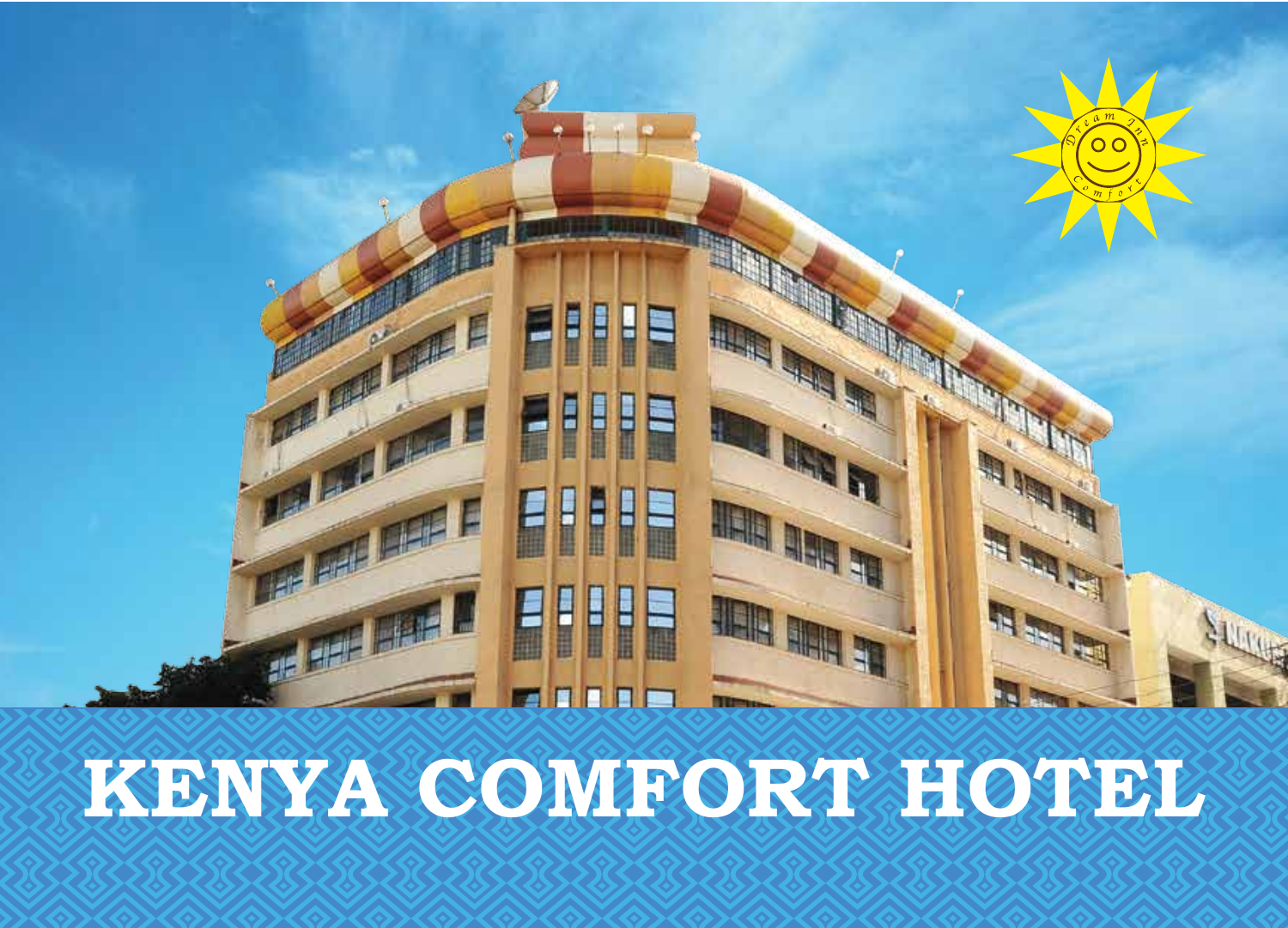

# **KENYA COMFORT HOTEL**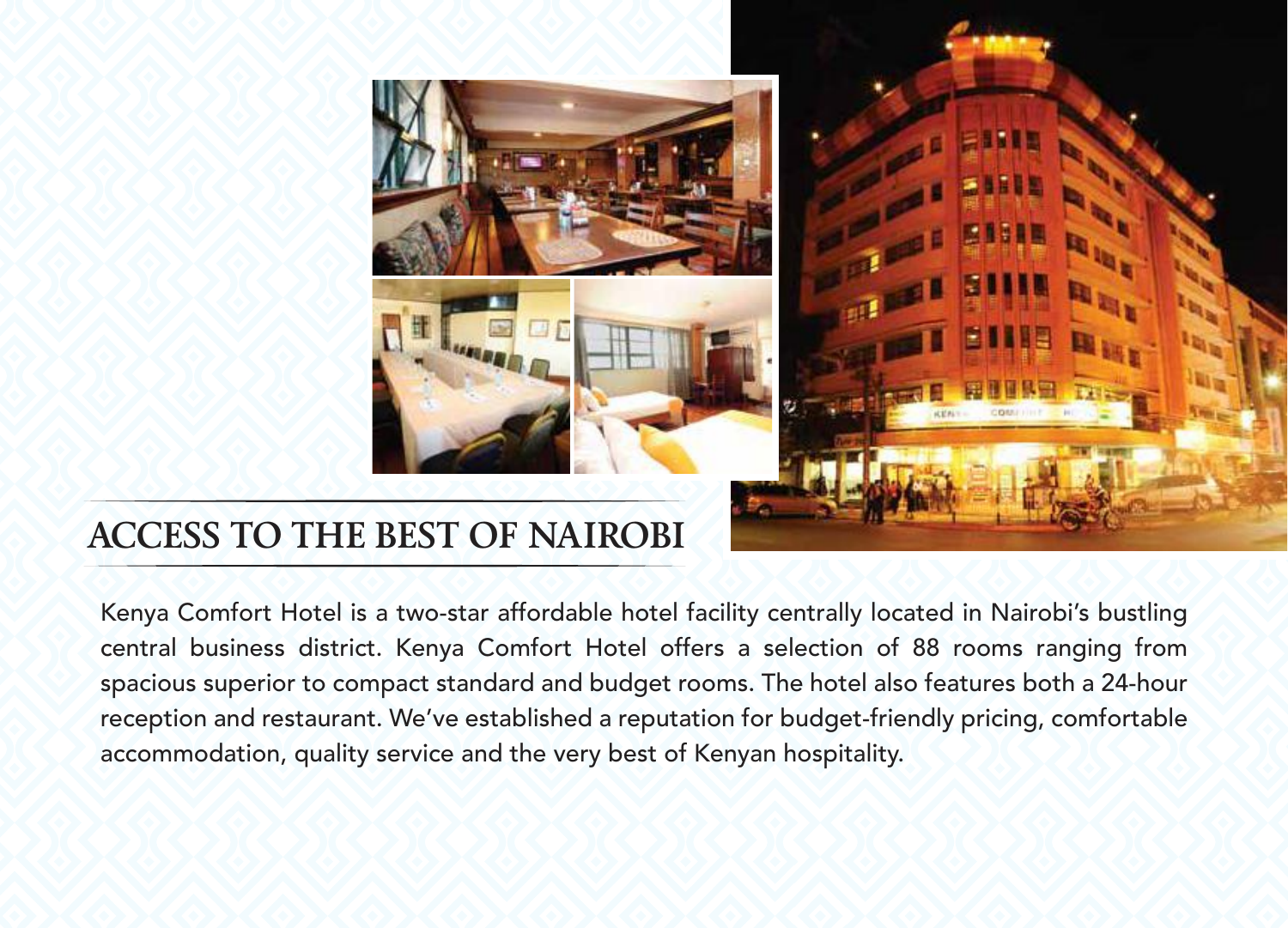## **ACCESS TO THE BEST OF NAIROBI**

Kenya Comfort Hotel is a two-star affordable hotel facility centrally located in Nairobi's bustling central business district. Kenya Comfort Hotel offers a selection of 88 rooms ranging from spacious superior to compact standard and budget rooms. The hotel also features both a 24-hour reception and restaurant. We've established a reputation for budget-friendly pricing, comfortable accommodation, quality service and the very best of Kenyan hospitality.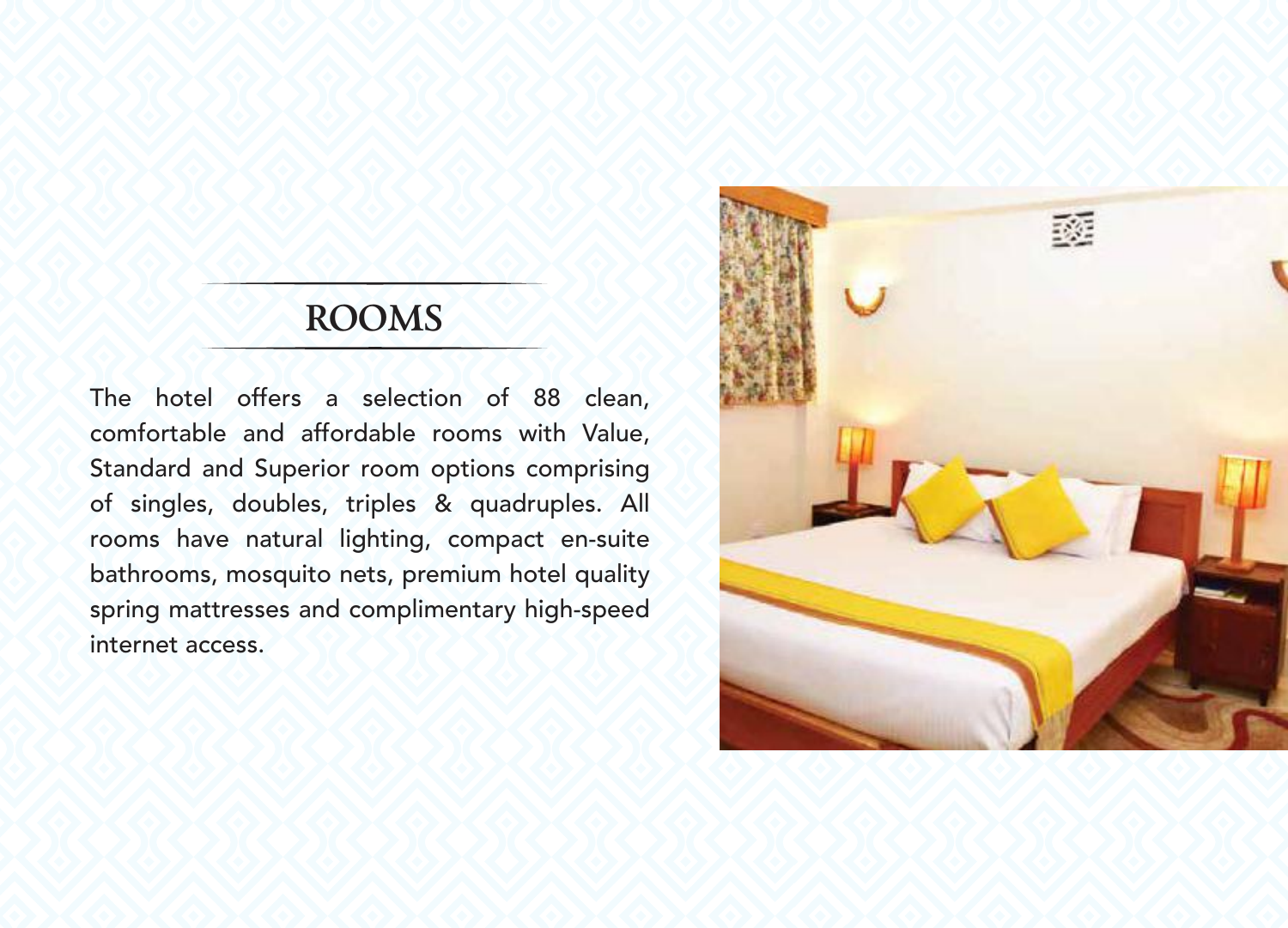#### **ROOMS**

The hotel offers a selection of 88 clean, comfortable and affordable rooms with Value, Standard and Superior room options comprising of singles, doubles, triples & quadruples. All rooms have natural lighting, compact en-suite bathrooms, mosquito nets, premium hotel quality spring mattresses and complimentary high-speed internet access.

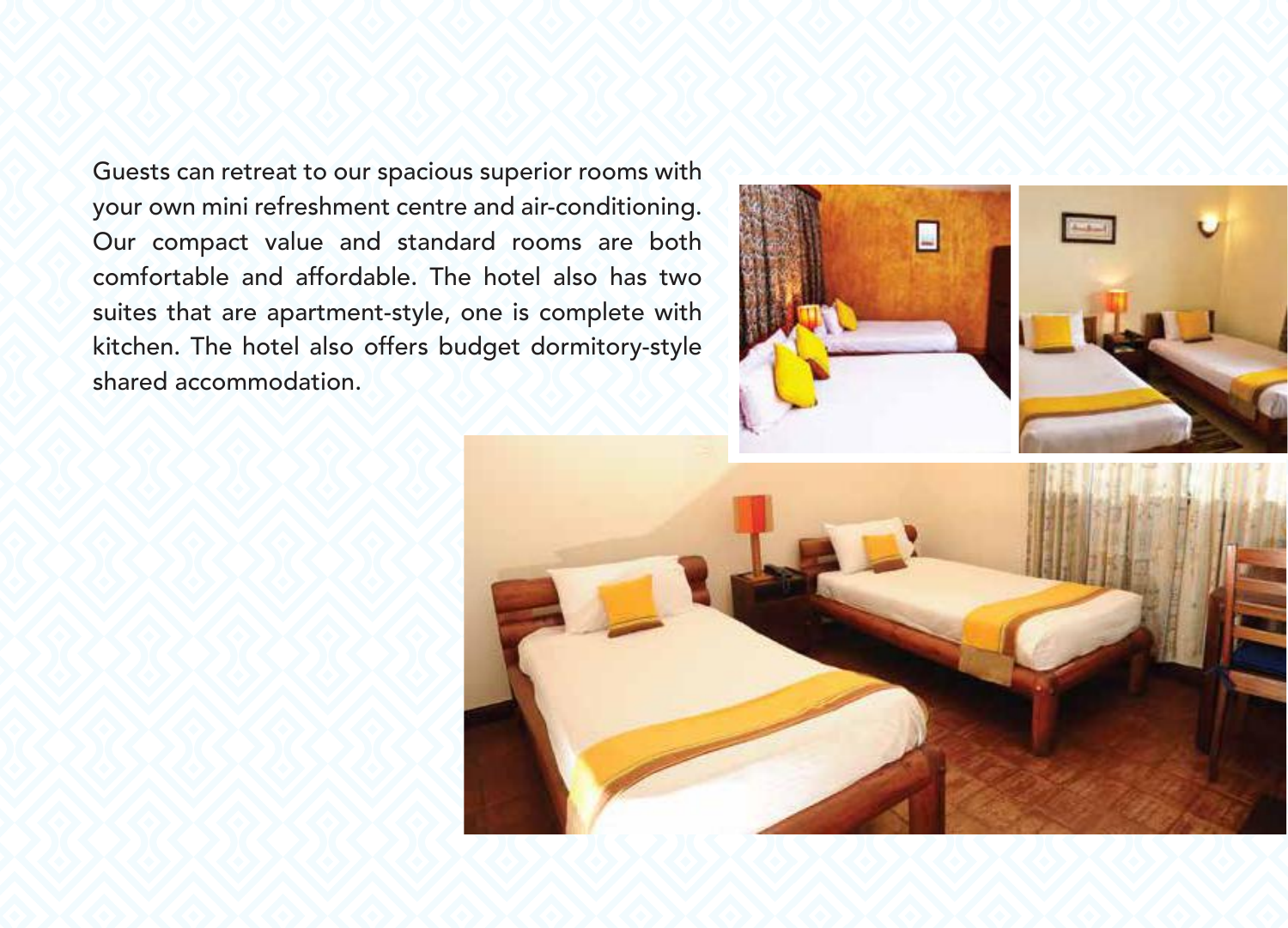Guests can retreat to our spacious superior rooms with your own mini refreshment centre and air-conditioning. Our compact value and standard rooms are both comfortable and affordable. The hotel also has two suites that are apartment-style, one is complete with kitchen. The hotel also offers budget dormitory-style shared accommodation.



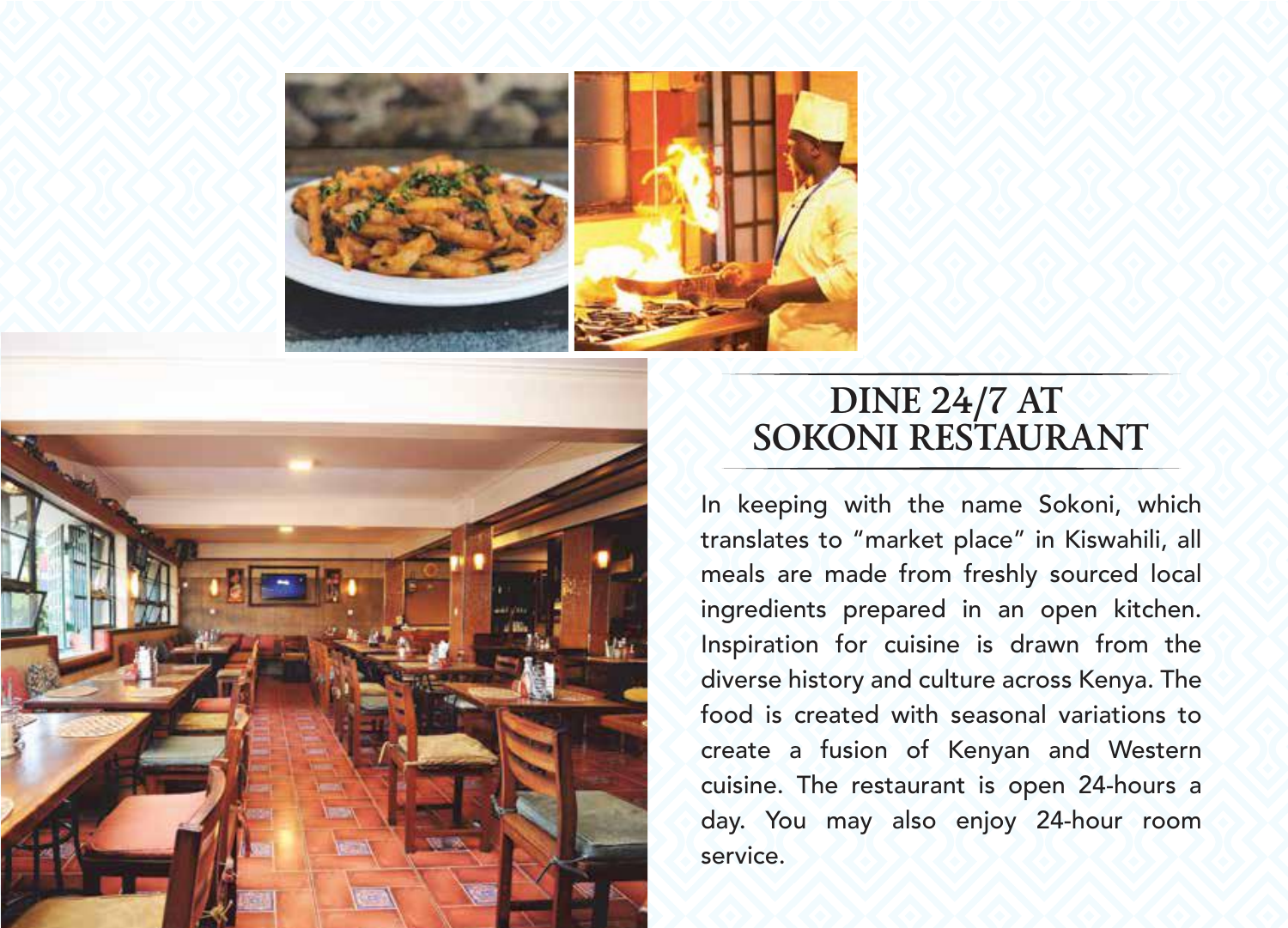



#### **DINE 24/7 AT SOKONI RESTAURANT**

In keeping with the name Sokoni, which translates to "market place" in Kiswahili, all meals are made from freshly sourced local ingredients prepared in an open kitchen. Inspiration for cuisine is drawn from the diverse history and culture across Kenya. The food is created with seasonal variations to create a fusion of Kenyan and Western cuisine. The restaurant is open 24-hours a day. You may also enjoy 24-hour room service.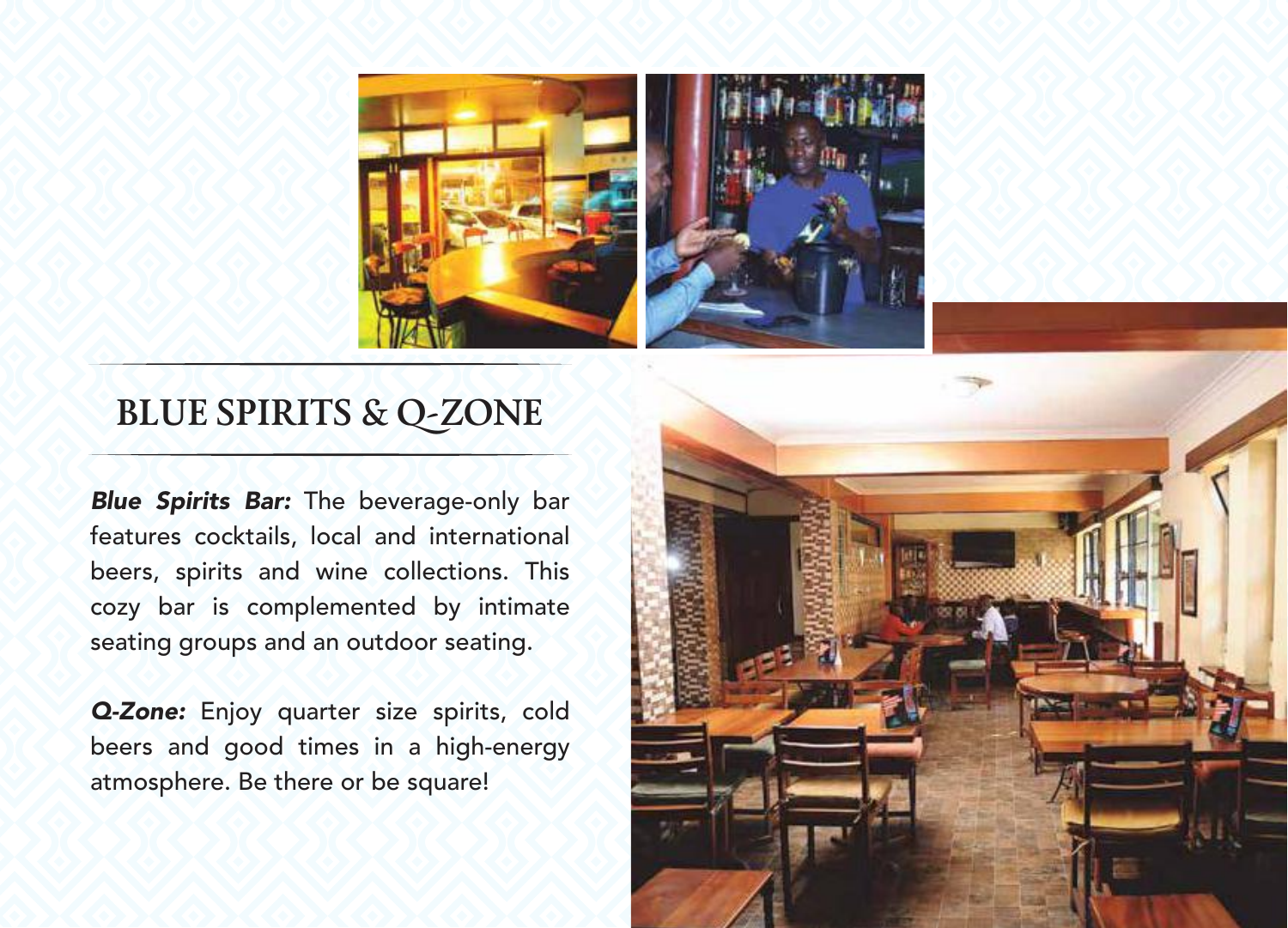

#### **BLUE SPIRITS & Q-ZONE**

*Blue Spirits Bar:* The beverage-only bar features cocktails, local and international beers, spirits and wine collections. This cozy bar is complemented by intimate seating groups and an outdoor seating.

*Q-Zone:* Enjoy quarter size spirits, cold beers and good times in a high-energy atmosphere. Be there or be square!

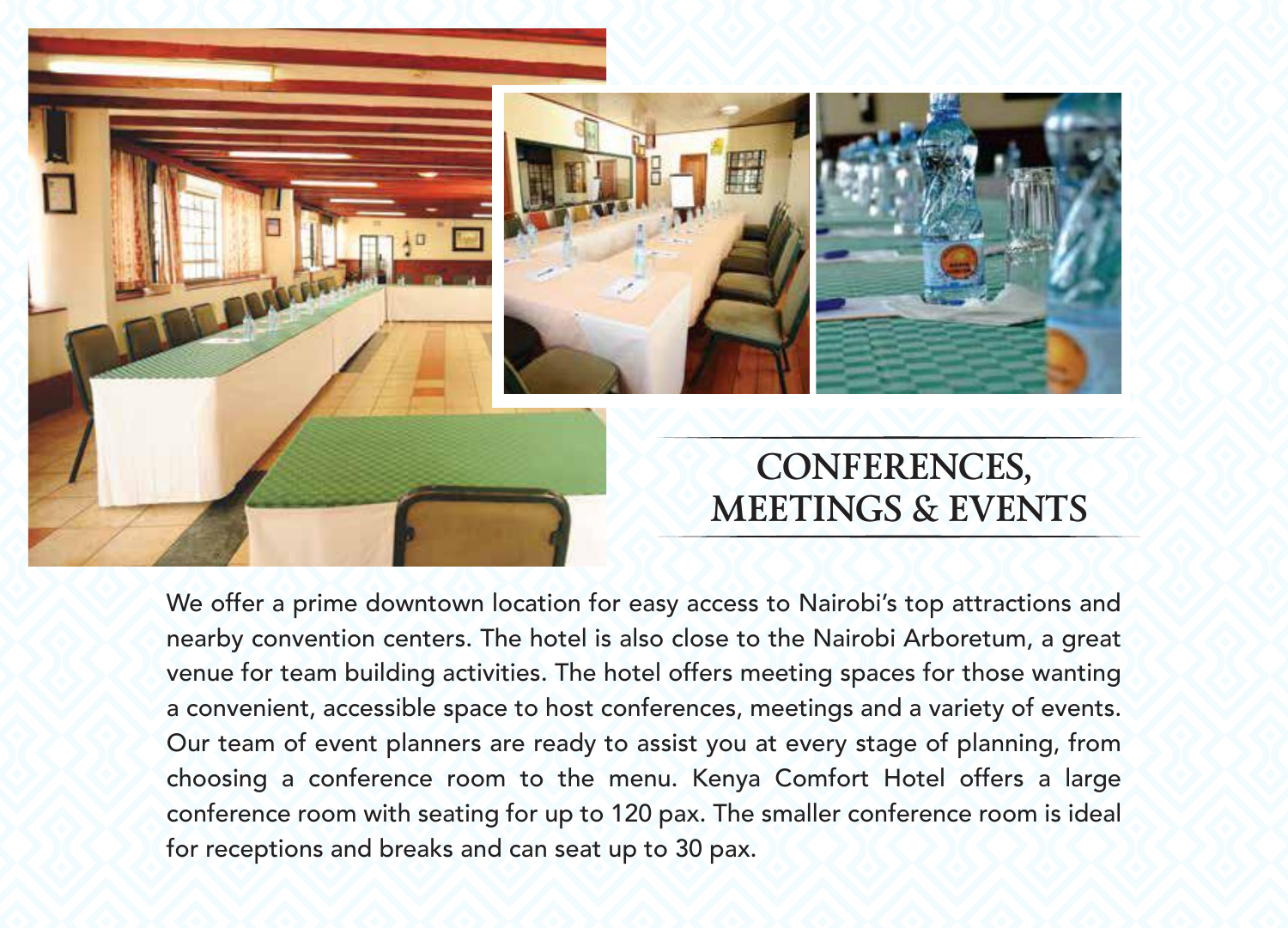

We offer a prime downtown location for easy access to Nairobi's top attractions and nearby convention centers. The hotel is also close to the Nairobi Arboretum, a great venue for team building activities. The hotel offers meeting spaces for those wanting a convenient, accessible space to host conferences, meetings and a variety of events. Our team of event planners are ready to assist you at every stage of planning, from choosing a conference room to the menu. Kenya Comfort Hotel offers a large conference room with seating for up to 120 pax. The smaller conference room is ideal for receptions and breaks and can seat up to 30 pax.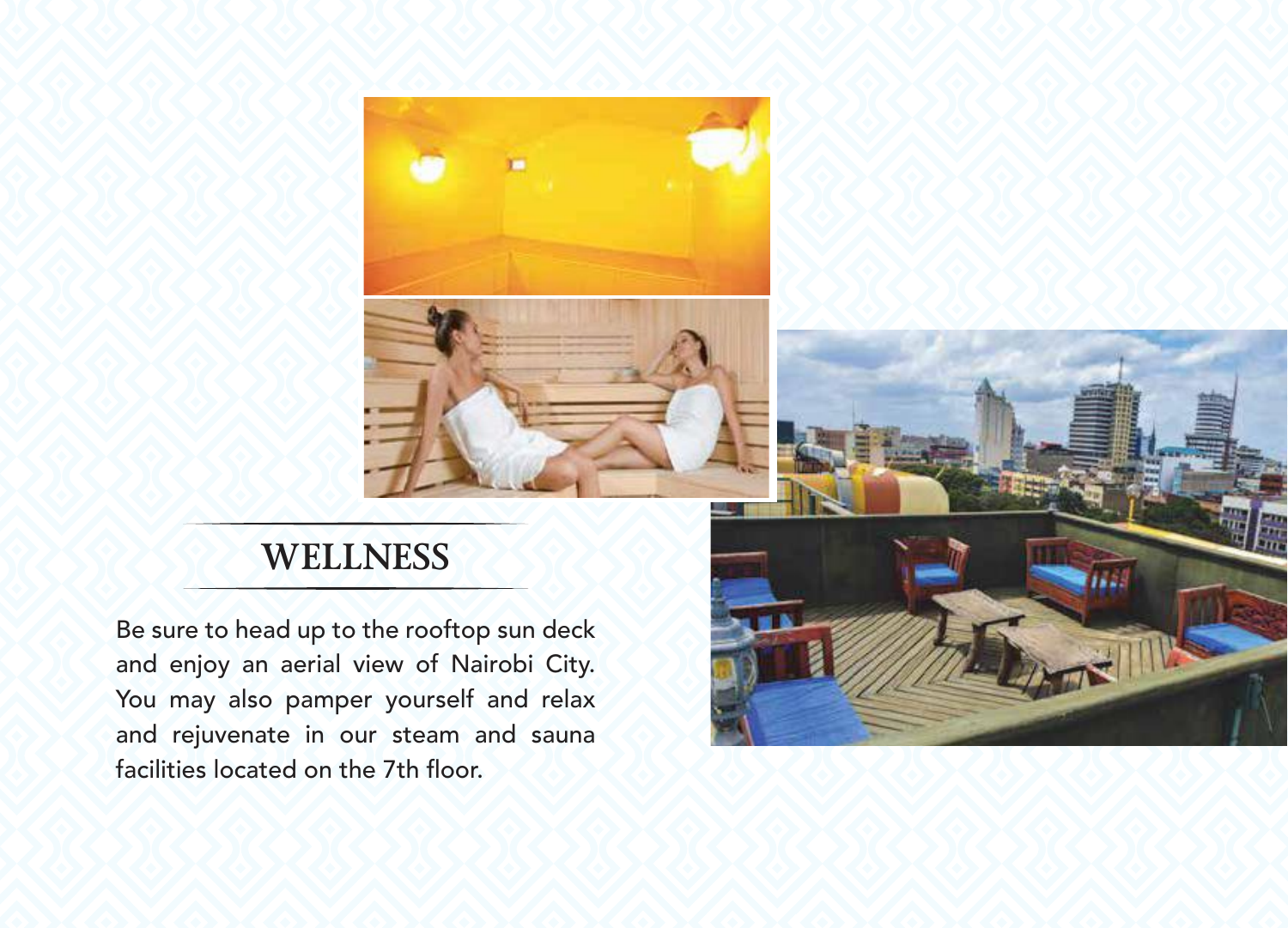



#### **WELLNESS**

Be sure to head up to the rooftop sun deck and enjoy an aerial view of Nairobi City. You may also pamper yourself and relax and rejuvenate in our steam and sauna facilities located on the 7th floor.

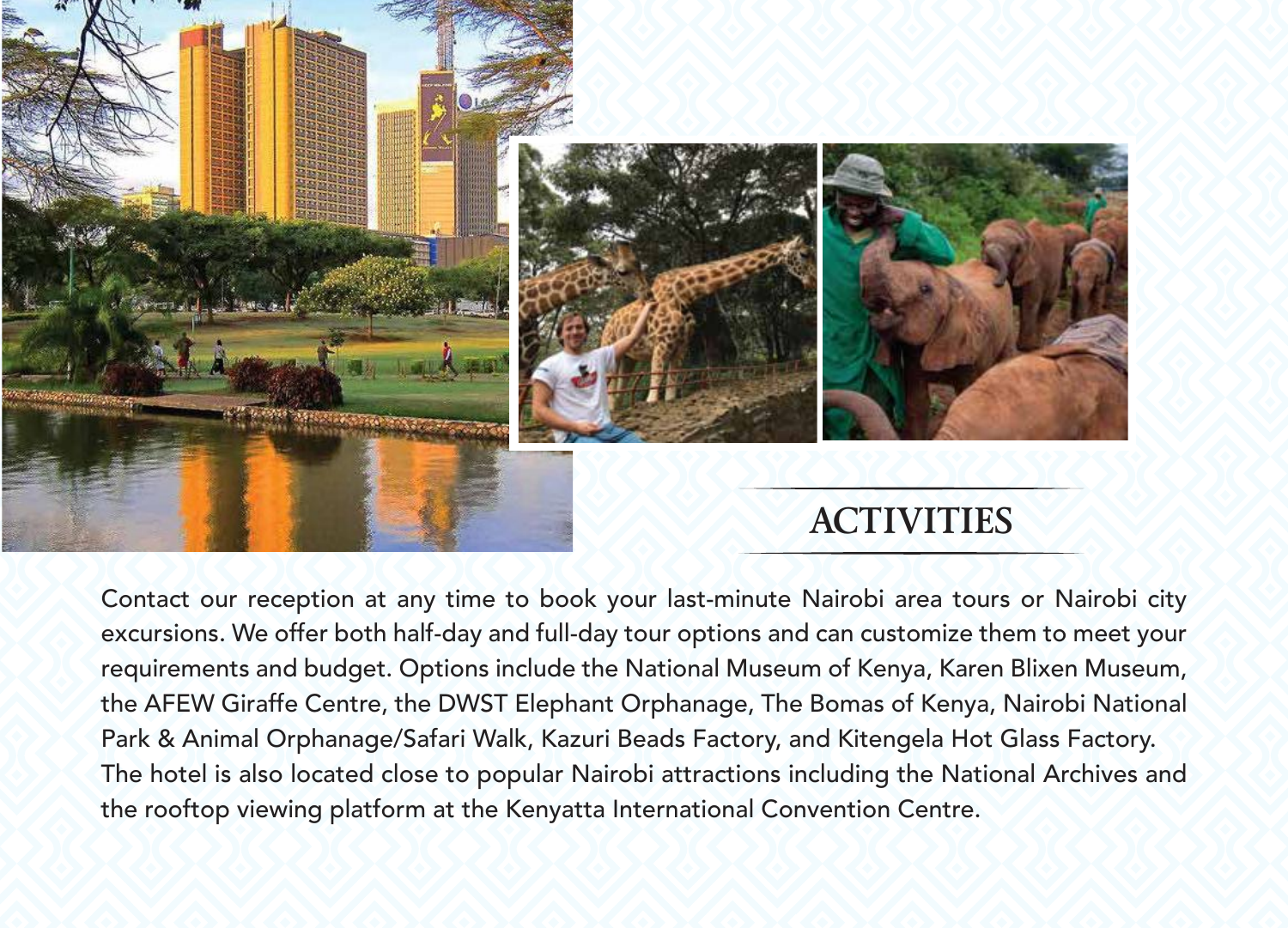

Contact our reception at any time to book your last-minute Nairobi area tours or Nairobi city excursions. We offer both half-day and full-day tour options and can customize them to meet your requirements and budget. Options include the National Museum of Kenya, Karen Blixen Museum, the AFEW Giraffe Centre, the DWST Elephant Orphanage, The Bomas of Kenya, Nairobi National Park & Animal Orphanage/Safari Walk, Kazuri Beads Factory, and Kitengela Hot Glass Factory. The hotel is also located close to popular Nairobi attractions including the National Archives and the rooftop viewing platform at the Kenyatta International Convention Centre.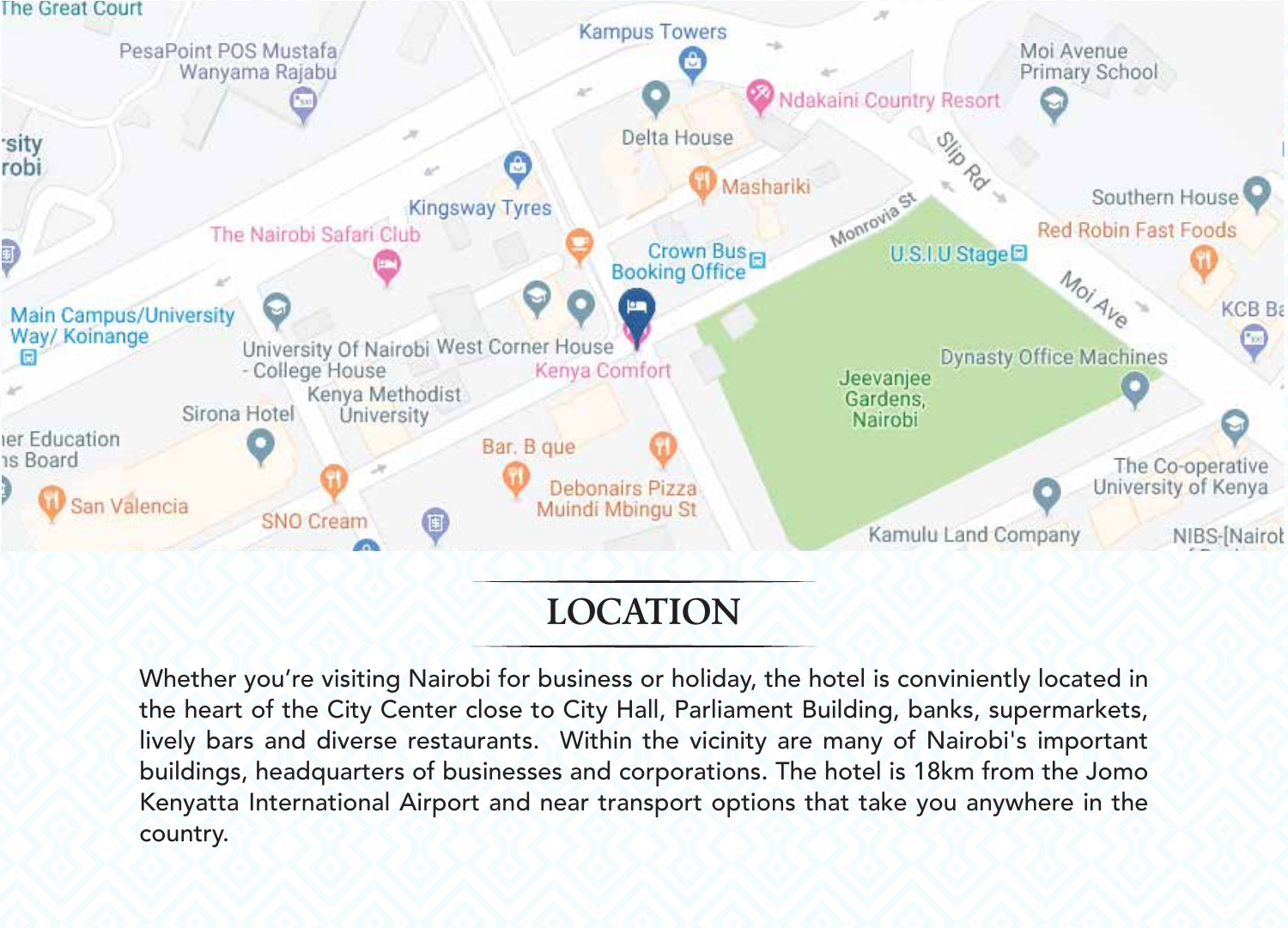

### **LOCATION**

Whether you're visiting Nairobi for business or holiday, the hotel is conviniently located in the heart of the City Center close to City Hall, Parliament Building, banks, supermarkets, lively bars and diverse restaurants. Within the vicinity are many of Nairobi's important buildings, headquarters of businesses and corporations. The hotel is 18km from the Jomo Kenyatta International Airport and near transport options that take you anywhere in the country.